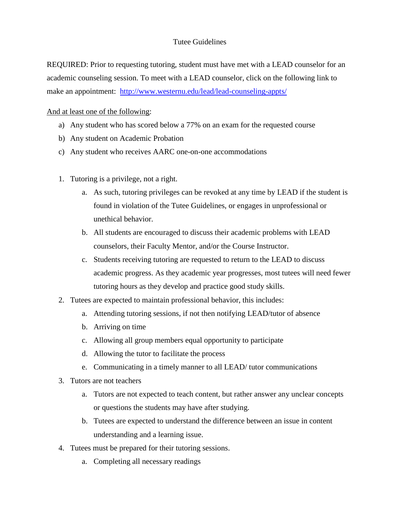## Tutee Guidelines

REQUIRED: Prior to requesting tutoring, student must have met with a LEAD counselor for an academic counseling session. To meet with a LEAD counselor, click on the following link to make an appointment: <http://www.westernu.edu/lead/lead-counseling-appts/>

## And at least one of the following:

- a) Any student who has scored below a 77% on an exam for the requested course
- b) Any student on Academic Probation
- c) Any student who receives AARC one-on-one accommodations
- 1. Tutoring is a privilege, not a right.
	- a. As such, tutoring privileges can be revoked at any time by LEAD if the student is found in violation of the Tutee Guidelines, or engages in unprofessional or unethical behavior.
	- b. All students are encouraged to discuss their academic problems with LEAD counselors, their Faculty Mentor, and/or the Course Instructor.
	- c. Students receiving tutoring are requested to return to the LEAD to discuss academic progress. As they academic year progresses, most tutees will need fewer tutoring hours as they develop and practice good study skills.
- 2. Tutees are expected to maintain professional behavior, this includes:
	- a. Attending tutoring sessions, if not then notifying LEAD/tutor of absence
	- b. Arriving on time
	- c. Allowing all group members equal opportunity to participate
	- d. Allowing the tutor to facilitate the process
	- e. Communicating in a timely manner to all LEAD/ tutor communications
- 3. Tutors are not teachers
	- a. Tutors are not expected to teach content, but rather answer any unclear concepts or questions the students may have after studying.
	- b. Tutees are expected to understand the difference between an issue in content understanding and a learning issue.
- 4. Tutees must be prepared for their tutoring sessions.
	- a. Completing all necessary readings